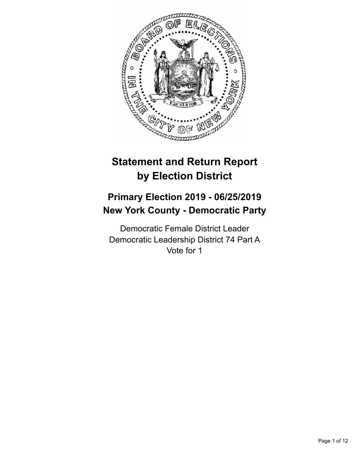

# **Statement and Return Report by Election District**

## **Primary Election 2019 - 06/25/2019 New York County - Democratic Party**

Democratic Female District Leader Democratic Leadership District 74 Part A Vote for 1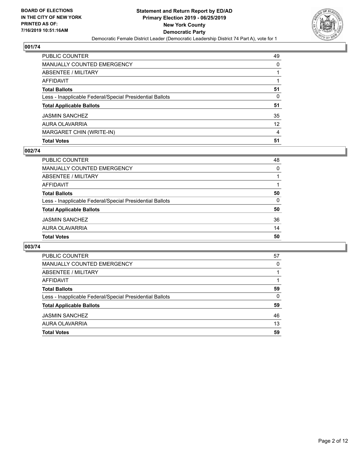

| PUBLIC COUNTER                                           | 49 |
|----------------------------------------------------------|----|
| <b>MANUALLY COUNTED EMERGENCY</b>                        | 0  |
| <b>ABSENTEE / MILITARY</b>                               |    |
| AFFIDAVIT                                                |    |
| <b>Total Ballots</b>                                     | 51 |
| Less - Inapplicable Federal/Special Presidential Ballots | 0  |
| <b>Total Applicable Ballots</b>                          | 51 |
| <b>JASMIN SANCHEZ</b>                                    | 35 |
| AURA OLAVARRIA                                           | 12 |
| MARGARET CHIN (WRITE-IN)                                 | 4  |
| <b>Total Votes</b>                                       | 51 |

## **002/74**

| PUBLIC COUNTER                                           | 48       |
|----------------------------------------------------------|----------|
| <b>MANUALLY COUNTED EMERGENCY</b>                        | 0        |
| ABSENTEE / MILITARY                                      |          |
| <b>AFFIDAVIT</b>                                         |          |
| <b>Total Ballots</b>                                     | 50       |
| Less - Inapplicable Federal/Special Presidential Ballots | $\Omega$ |
| <b>Total Applicable Ballots</b>                          | 50       |
| <b>JASMIN SANCHEZ</b>                                    | 36       |
| AURA OLAVARRIA                                           | 14       |
| <b>Total Votes</b>                                       | 50       |

| <b>PUBLIC COUNTER</b>                                    | 57       |
|----------------------------------------------------------|----------|
| MANUALLY COUNTED EMERGENCY                               | $\Omega$ |
| ABSENTEE / MILITARY                                      |          |
| AFFIDAVIT                                                |          |
| <b>Total Ballots</b>                                     | 59       |
| Less - Inapplicable Federal/Special Presidential Ballots | $\Omega$ |
| <b>Total Applicable Ballots</b>                          | 59       |
| <b>JASMIN SANCHEZ</b>                                    | 46       |
| AURA OLAVARRIA                                           | 13       |
| <b>Total Votes</b>                                       | 59       |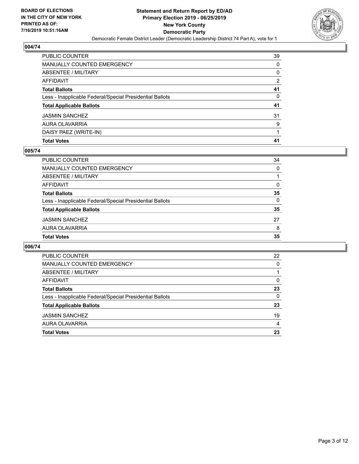

| <b>Total Votes</b>                                       | 41 |
|----------------------------------------------------------|----|
| DAISY PAEZ (WRITE-IN)                                    |    |
| AURA OLAVARRIA                                           | 9  |
| <b>JASMIN SANCHEZ</b>                                    | 31 |
| <b>Total Applicable Ballots</b>                          | 41 |
| Less - Inapplicable Federal/Special Presidential Ballots | 0  |
| <b>Total Ballots</b>                                     | 41 |
| <b>AFFIDAVIT</b>                                         | 2  |
| ABSENTEE / MILITARY                                      | 0  |
| <b>MANUALLY COUNTED EMERGENCY</b>                        | 0  |
| PUBLIC COUNTER                                           | 39 |

## **005/74**

| PUBLIC COUNTER                                           | 34 |
|----------------------------------------------------------|----|
| MANUALLY COUNTED EMERGENCY                               | 0  |
| <b>ABSENTEE / MILITARY</b>                               |    |
| <b>AFFIDAVIT</b>                                         | 0  |
| <b>Total Ballots</b>                                     | 35 |
| Less - Inapplicable Federal/Special Presidential Ballots | 0  |
| <b>Total Applicable Ballots</b>                          | 35 |
| <b>JASMIN SANCHEZ</b>                                    | 27 |
| AURA OLAVARRIA                                           | 8  |
| <b>Total Votes</b>                                       | 35 |

| PUBLIC COUNTER                                           | 22             |
|----------------------------------------------------------|----------------|
| MANUALLY COUNTED EMERGENCY                               | 0              |
| ABSENTEE / MILITARY                                      |                |
| AFFIDAVIT                                                | $\Omega$       |
| <b>Total Ballots</b>                                     | 23             |
| Less - Inapplicable Federal/Special Presidential Ballots | $\Omega$       |
| <b>Total Applicable Ballots</b>                          | 23             |
| <b>JASMIN SANCHEZ</b>                                    | 19             |
| AURA OLAVARRIA                                           | $\overline{4}$ |
| <b>Total Votes</b>                                       | 23             |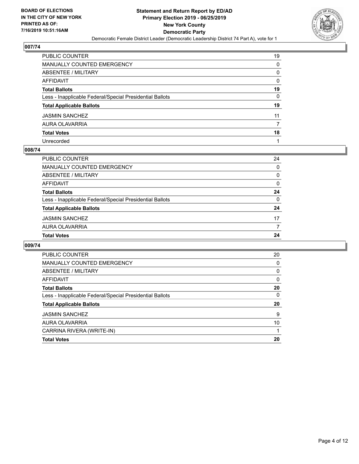

| PUBLIC COUNTER                                           | 19 |
|----------------------------------------------------------|----|
| MANUALLY COUNTED EMERGENCY                               | 0  |
| ABSENTEE / MILITARY                                      | 0  |
| AFFIDAVIT                                                | 0  |
| Total Ballots                                            | 19 |
| Less - Inapplicable Federal/Special Presidential Ballots | 0  |
| <b>Total Applicable Ballots</b>                          | 19 |
| JASMIN SANCHEZ                                           | 11 |
| AURA OLAVARRIA                                           | 7  |
| <b>Total Votes</b>                                       | 18 |
| Unrecorded                                               |    |

#### **008/74**

| ABSENTEE / MILITARY                                      | $\Omega$ |
|----------------------------------------------------------|----------|
| AFFIDAVIT                                                | $\Omega$ |
| <b>Total Ballots</b>                                     | 24       |
| Less - Inapplicable Federal/Special Presidential Ballots | $\Omega$ |
| <b>Total Applicable Ballots</b>                          | 24       |
| <b>JASMIN SANCHEZ</b>                                    | 17       |
| AURA OLAVARRIA                                           |          |
| <b>Total Votes</b>                                       | 24       |
|                                                          |          |

| <b>PUBLIC COUNTER</b>                                    | 20       |
|----------------------------------------------------------|----------|
| <b>MANUALLY COUNTED EMERGENCY</b>                        | 0        |
| ABSENTEE / MILITARY                                      | $\Omega$ |
| <b>AFFIDAVIT</b>                                         | $\Omega$ |
| <b>Total Ballots</b>                                     | 20       |
| Less - Inapplicable Federal/Special Presidential Ballots | 0        |
| <b>Total Applicable Ballots</b>                          | 20       |
| <b>JASMIN SANCHEZ</b>                                    | 9        |
| AURA OLAVARRIA                                           | 10       |
| CARRINA RIVERA (WRITE-IN)                                |          |
| <b>Total Votes</b>                                       | 20       |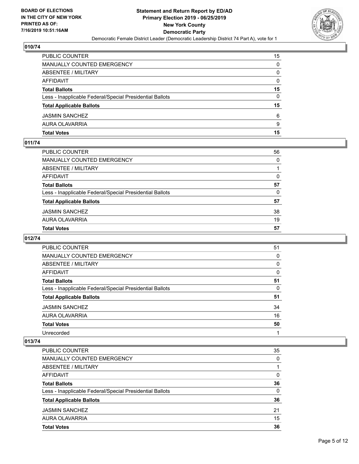

| <b>PUBLIC COUNTER</b>                                    | 15       |
|----------------------------------------------------------|----------|
| MANUALLY COUNTED EMERGENCY                               | 0        |
| ABSENTEE / MILITARY                                      | 0        |
| AFFIDAVIT                                                | $\Omega$ |
| <b>Total Ballots</b>                                     | 15       |
| Less - Inapplicable Federal/Special Presidential Ballots | 0        |
| <b>Total Applicable Ballots</b>                          | 15       |
| <b>JASMIN SANCHEZ</b>                                    | 6        |
| AURA OLAVARRIA                                           | 9        |
| <b>Total Votes</b>                                       | 15       |

## **011/74**

| <b>Total Votes</b>                                       | 57       |
|----------------------------------------------------------|----------|
| AURA OLAVARRIA                                           | 19       |
| <b>JASMIN SANCHEZ</b>                                    | 38       |
| <b>Total Applicable Ballots</b>                          | 57       |
| Less - Inapplicable Federal/Special Presidential Ballots | $\Omega$ |
| <b>Total Ballots</b>                                     | 57       |
| <b>AFFIDAVIT</b>                                         | 0        |
| <b>ABSENTEE / MILITARY</b>                               |          |
| <b>MANUALLY COUNTED EMERGENCY</b>                        | $\Omega$ |
| PUBLIC COUNTER                                           | 56       |

## **012/74**

| <b>PUBLIC COUNTER</b>                                    | 51 |
|----------------------------------------------------------|----|
| <b>MANUALLY COUNTED EMERGENCY</b>                        | 0  |
| ABSENTEE / MILITARY                                      | 0  |
| AFFIDAVIT                                                | 0  |
| <b>Total Ballots</b>                                     | 51 |
| Less - Inapplicable Federal/Special Presidential Ballots | 0  |
| <b>Total Applicable Ballots</b>                          | 51 |
| <b>JASMIN SANCHEZ</b>                                    | 34 |
| AURA OLAVARRIA                                           | 16 |
| <b>Total Votes</b>                                       | 50 |
| Unrecorded                                               |    |

| <b>PUBLIC COUNTER</b>                                    | 35       |
|----------------------------------------------------------|----------|
| <b>MANUALLY COUNTED EMERGENCY</b>                        | 0        |
| ABSENTEE / MILITARY                                      |          |
| AFFIDAVIT                                                | 0        |
| <b>Total Ballots</b>                                     | 36       |
| Less - Inapplicable Federal/Special Presidential Ballots | $\Omega$ |
| <b>Total Applicable Ballots</b>                          | 36       |
| <b>JASMIN SANCHEZ</b>                                    | 21       |
| AURA OLAVARRIA                                           | 15       |
| <b>Total Votes</b>                                       | 36       |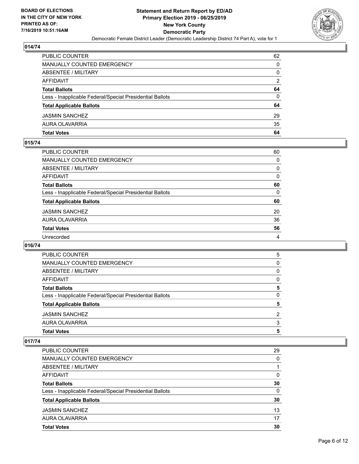

| PUBLIC COUNTER                                           | 62            |
|----------------------------------------------------------|---------------|
| <b>MANUALLY COUNTED EMERGENCY</b>                        | 0             |
| ABSENTEE / MILITARY                                      | 0             |
| AFFIDAVIT                                                | $\mathcal{P}$ |
| <b>Total Ballots</b>                                     | 64            |
| Less - Inapplicable Federal/Special Presidential Ballots | 0             |
| <b>Total Applicable Ballots</b>                          | 64            |
| <b>JASMIN SANCHEZ</b>                                    | 29            |
| AURA OLAVARRIA                                           | 35            |
| <b>Total Votes</b>                                       | 64            |

## **015/74**

| PUBLIC COUNTER                                           | 60       |
|----------------------------------------------------------|----------|
| <b>MANUALLY COUNTED EMERGENCY</b>                        | $\Omega$ |
| <b>ABSENTEE / MILITARY</b>                               | 0        |
| <b>AFFIDAVIT</b>                                         | 0        |
| <b>Total Ballots</b>                                     | 60       |
| Less - Inapplicable Federal/Special Presidential Ballots | $\Omega$ |
| <b>Total Applicable Ballots</b>                          | 60       |
| <b>JASMIN SANCHEZ</b>                                    | 20       |
| AURA OLAVARRIA                                           | 36       |
| <b>Total Votes</b>                                       | 56       |
| Unrecorded                                               | 4        |
|                                                          |          |

## **016/74**

| PUBLIC COUNTER                                           | 5 |
|----------------------------------------------------------|---|
| MANUALLY COUNTED EMERGENCY                               | 0 |
| ABSENTEE / MILITARY                                      | 0 |
| AFFIDAVIT                                                | 0 |
| <b>Total Ballots</b>                                     | 5 |
| Less - Inapplicable Federal/Special Presidential Ballots | 0 |
| <b>Total Applicable Ballots</b>                          | 5 |
| <b>JASMIN SANCHEZ</b>                                    | 2 |
| AURA OLAVARRIA                                           | 3 |
| <b>Total Votes</b>                                       | 5 |
|                                                          |   |

| <b>PUBLIC COUNTER</b>                                    | 29 |
|----------------------------------------------------------|----|
| <b>MANUALLY COUNTED EMERGENCY</b>                        | 0  |
| ABSENTEE / MILITARY                                      |    |
| AFFIDAVIT                                                | 0  |
| <b>Total Ballots</b>                                     | 30 |
| Less - Inapplicable Federal/Special Presidential Ballots | 0  |
| <b>Total Applicable Ballots</b>                          | 30 |
| <b>JASMIN SANCHEZ</b>                                    | 13 |
| AURA OLAVARRIA                                           | 17 |
| <b>Total Votes</b>                                       | 30 |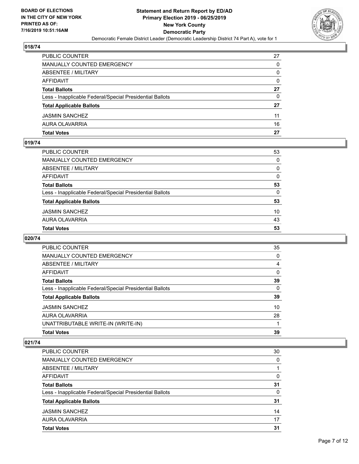

| <b>PUBLIC COUNTER</b>                                    | 27       |
|----------------------------------------------------------|----------|
| <b>MANUALLY COUNTED EMERGENCY</b>                        | 0        |
| <b>ABSENTEE / MILITARY</b>                               | 0        |
| AFFIDAVIT                                                | $\Omega$ |
| <b>Total Ballots</b>                                     | 27       |
| Less - Inapplicable Federal/Special Presidential Ballots | 0        |
| <b>Total Applicable Ballots</b>                          | 27       |
| <b>JASMIN SANCHEZ</b>                                    | 11       |
| AURA OLAVARRIA                                           | 16       |
| <b>Total Votes</b>                                       | 27       |

## **019/74**

| <b>Total Votes</b>                                       | 53       |
|----------------------------------------------------------|----------|
| AURA OLAVARRIA                                           | 43       |
| <b>JASMIN SANCHEZ</b>                                    | 10       |
| <b>Total Applicable Ballots</b>                          | 53       |
| Less - Inapplicable Federal/Special Presidential Ballots | $\Omega$ |
| <b>Total Ballots</b>                                     | 53       |
| <b>AFFIDAVIT</b>                                         | $\Omega$ |
| ABSENTEE / MILITARY                                      | $\Omega$ |
| <b>MANUALLY COUNTED EMERGENCY</b>                        | $\Omega$ |
| PUBLIC COUNTER                                           | 53       |

## **020/74**

| 35 |
|----|
| 0  |
| 4  |
| 0  |
| 39 |
| 0  |
| 39 |
| 10 |
| 28 |
|    |
| 39 |
|    |

| PUBLIC COUNTER                                           | 30 |
|----------------------------------------------------------|----|
| MANUALLY COUNTED EMERGENCY                               | 0  |
| ABSENTEE / MILITARY                                      |    |
| AFFIDAVIT                                                | 0  |
| <b>Total Ballots</b>                                     | 31 |
| Less - Inapplicable Federal/Special Presidential Ballots | 0  |
| <b>Total Applicable Ballots</b>                          | 31 |
| <b>JASMIN SANCHEZ</b>                                    | 14 |
| AURA OLAVARRIA                                           | 17 |
| <b>Total Votes</b>                                       | 31 |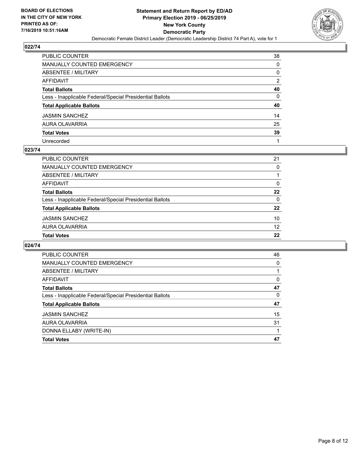

| PUBLIC COUNTER                                           | 38 |
|----------------------------------------------------------|----|
| MANUALLY COUNTED EMERGENCY                               | 0  |
| ABSENTEE / MILITARY                                      | 0  |
| AFFIDAVIT                                                | 2  |
| Total Ballots                                            | 40 |
| Less - Inapplicable Federal/Special Presidential Ballots | 0  |
| <b>Total Applicable Ballots</b>                          | 40 |
| JASMIN SANCHEZ                                           | 14 |
| AURA OLAVARRIA                                           | 25 |
| <b>Total Votes</b>                                       | 39 |
| Unrecorded                                               |    |

#### **023/74**

| <b>Total Votes</b>                                       | 22       |
|----------------------------------------------------------|----------|
|                                                          |          |
| AURA OLAVARRIA                                           | 12       |
| <b>JASMIN SANCHEZ</b>                                    | 10       |
| <b>Total Applicable Ballots</b>                          | 22       |
| Less - Inapplicable Federal/Special Presidential Ballots | $\Omega$ |
| <b>Total Ballots</b>                                     | 22       |
| AFFIDAVIT                                                | 0        |
| ABSENTEE / MILITARY                                      |          |
| <b>MANUALLY COUNTED EMERGENCY</b>                        | 0        |
| PUBLIC COUNTER                                           | 21       |

| <b>PUBLIC COUNTER</b>                                    | 46 |
|----------------------------------------------------------|----|
| <b>MANUALLY COUNTED EMERGENCY</b>                        | 0  |
| ABSENTEE / MILITARY                                      |    |
| <b>AFFIDAVIT</b>                                         | 0  |
| <b>Total Ballots</b>                                     | 47 |
| Less - Inapplicable Federal/Special Presidential Ballots | 0  |
| <b>Total Applicable Ballots</b>                          | 47 |
| <b>JASMIN SANCHEZ</b>                                    | 15 |
| AURA OLAVARRIA                                           | 31 |
| DONNA ELLABY (WRITE-IN)                                  |    |
| <b>Total Votes</b>                                       | 47 |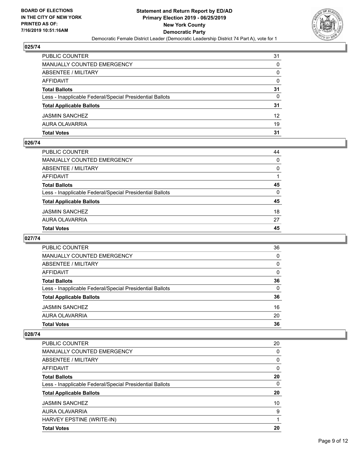

| <b>Total Votes</b>                                       | 31 |
|----------------------------------------------------------|----|
| AURA OLAVARRIA                                           | 19 |
| <b>JASMIN SANCHEZ</b>                                    | 12 |
| <b>Total Applicable Ballots</b>                          | 31 |
| Less - Inapplicable Federal/Special Presidential Ballots | 0  |
| <b>Total Ballots</b>                                     | 31 |
| AFFIDAVIT                                                | 0  |
| <b>ABSENTEE / MILITARY</b>                               | 0  |
| MANUALLY COUNTED EMERGENCY                               | 0  |
| <b>PUBLIC COUNTER</b>                                    | 31 |

## **026/74**

| PUBLIC COUNTER                                           | 44       |
|----------------------------------------------------------|----------|
| <b>MANUALLY COUNTED EMERGENCY</b>                        | $\Omega$ |
| <b>ABSENTEE / MILITARY</b>                               | $\Omega$ |
| AFFIDAVIT                                                |          |
| <b>Total Ballots</b>                                     | 45       |
| Less - Inapplicable Federal/Special Presidential Ballots | $\Omega$ |
| <b>Total Applicable Ballots</b>                          | 45       |
| <b>JASMIN SANCHEZ</b>                                    | 18       |
| AURA OLAVARRIA                                           | 27       |
| <b>Total Votes</b>                                       | 45       |
|                                                          |          |

## **027/74**

| <b>PUBLIC COUNTER</b>                                    | 36       |
|----------------------------------------------------------|----------|
| <b>MANUALLY COUNTED EMERGENCY</b>                        | $\Omega$ |
| ABSENTEE / MILITARY                                      | $\Omega$ |
| AFFIDAVIT                                                | $\Omega$ |
| <b>Total Ballots</b>                                     | 36       |
| Less - Inapplicable Federal/Special Presidential Ballots | 0        |
| <b>Total Applicable Ballots</b>                          | 36       |
| <b>JASMIN SANCHEZ</b>                                    | 16       |
| AURA OLAVARRIA                                           | 20       |
| <b>Total Votes</b>                                       | 36       |

| <b>Total Votes</b>                                       | 20       |
|----------------------------------------------------------|----------|
| HARVEY EPSTINE (WRITE-IN)                                |          |
| AURA OLAVARRIA                                           | 9        |
| <b>JASMIN SANCHEZ</b>                                    | 10       |
| <b>Total Applicable Ballots</b>                          | 20       |
| Less - Inapplicable Federal/Special Presidential Ballots | $\Omega$ |
| <b>Total Ballots</b>                                     | 20       |
| AFFIDAVIT                                                | $\Omega$ |
| ABSENTEE / MILITARY                                      | 0        |
| <b>MANUALLY COUNTED EMERGENCY</b>                        | 0        |
| PUBLIC COUNTER                                           | 20       |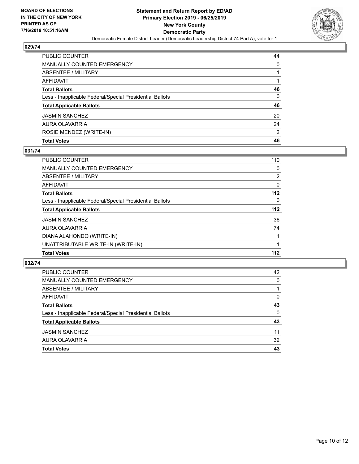

| PUBLIC COUNTER                                           | 44 |
|----------------------------------------------------------|----|
| <b>MANUALLY COUNTED EMERGENCY</b>                        | 0  |
| ABSENTEE / MILITARY                                      | 1  |
| AFFIDAVIT                                                |    |
| <b>Total Ballots</b>                                     | 46 |
| Less - Inapplicable Federal/Special Presidential Ballots | 0  |
| <b>Total Applicable Ballots</b>                          | 46 |
| <b>JASMIN SANCHEZ</b>                                    | 20 |
| AURA OLAVARRIA                                           | 24 |
| ROSIE MENDEZ (WRITE-IN)                                  | 2  |
| <b>Total Votes</b>                                       | 46 |

#### **031/74**

| <b>PUBLIC COUNTER</b>                                    | 110            |
|----------------------------------------------------------|----------------|
| MANUALLY COUNTED EMERGENCY                               | 0              |
| ABSENTEE / MILITARY                                      | $\overline{2}$ |
| AFFIDAVIT                                                | 0              |
| <b>Total Ballots</b>                                     | $112$          |
| Less - Inapplicable Federal/Special Presidential Ballots | 0              |
| <b>Total Applicable Ballots</b>                          | $112$          |
| <b>JASMIN SANCHEZ</b>                                    | 36             |
| AURA OLAVARRIA                                           | 74             |
| DIANA ALAHONDO (WRITE-IN)                                |                |
| UNATTRIBUTABLE WRITE-IN (WRITE-IN)                       |                |
| <b>Total Votes</b>                                       | 112            |
|                                                          |                |

| <b>PUBLIC COUNTER</b>                                    | 42       |
|----------------------------------------------------------|----------|
| MANUALLY COUNTED EMERGENCY                               | 0        |
| <b>ABSENTEE / MILITARY</b>                               |          |
| AFFIDAVIT                                                | $\Omega$ |
| <b>Total Ballots</b>                                     | 43       |
| Less - Inapplicable Federal/Special Presidential Ballots | 0        |
| <b>Total Applicable Ballots</b>                          | 43       |
| <b>JASMIN SANCHEZ</b>                                    | 11       |
| AURA OLAVARRIA                                           | 32       |
| <b>Total Votes</b>                                       | 43       |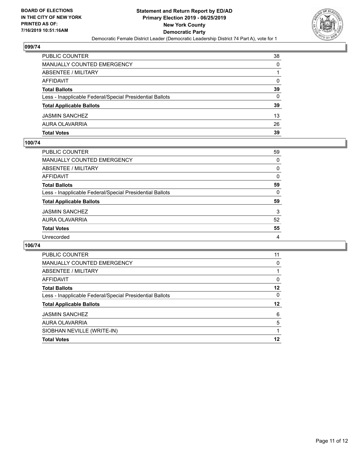

| PUBLIC COUNTER                                           | 38 |
|----------------------------------------------------------|----|
| <b>MANUALLY COUNTED EMERGENCY</b>                        | 0  |
| ABSENTEE / MILITARY                                      |    |
| AFFIDAVIT                                                | 0  |
| <b>Total Ballots</b>                                     | 39 |
| Less - Inapplicable Federal/Special Presidential Ballots | 0  |
| <b>Total Applicable Ballots</b>                          | 39 |
| <b>JASMIN SANCHEZ</b>                                    | 13 |
| AURA OLAVARRIA                                           | 26 |
| <b>Total Votes</b>                                       | 39 |

#### **100/74**

| PUBLIC COUNTER                                           | 59       |
|----------------------------------------------------------|----------|
| <b>MANUALLY COUNTED EMERGENCY</b>                        | $\Omega$ |
| ABSENTEE / MILITARY                                      | 0        |
| AFFIDAVIT                                                | $\Omega$ |
| <b>Total Ballots</b>                                     | 59       |
| Less - Inapplicable Federal/Special Presidential Ballots | $\Omega$ |
| <b>Total Applicable Ballots</b>                          | 59       |
| <b>JASMIN SANCHEZ</b>                                    | 3        |
| AURA OLAVARRIA                                           | 52       |
| <b>Total Votes</b>                                       | 55       |
| Unrecorded                                               | 4        |
|                                                          |          |

| <b>PUBLIC COUNTER</b>                                    | 11       |
|----------------------------------------------------------|----------|
| <b>MANUALLY COUNTED EMERGENCY</b>                        | 0        |
| ABSENTEE / MILITARY                                      |          |
| AFFIDAVIT                                                | $\Omega$ |
| <b>Total Ballots</b>                                     | 12       |
| Less - Inapplicable Federal/Special Presidential Ballots | $\Omega$ |
| <b>Total Applicable Ballots</b>                          | 12       |
| <b>JASMIN SANCHEZ</b>                                    | 6        |
| AURA OLAVARRIA                                           | 5        |
| SIOBHAN NEVILLE (WRITE-IN)                               |          |
| <b>Total Votes</b>                                       | 12       |